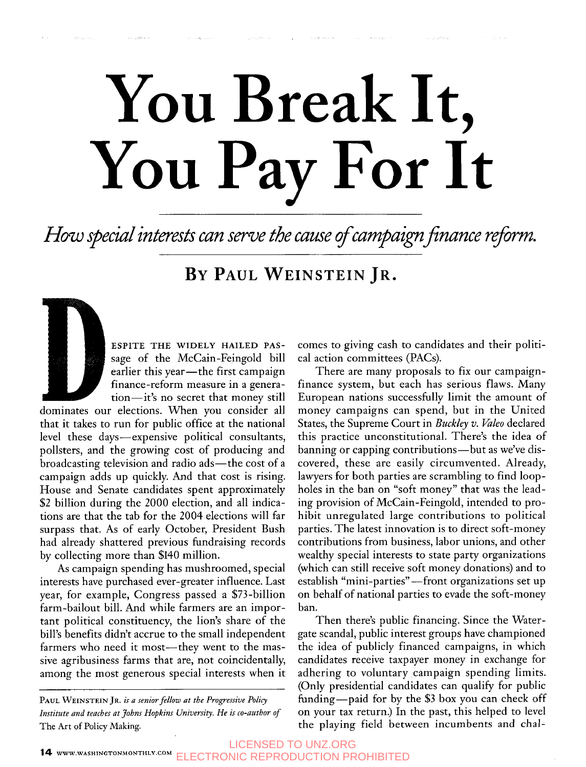# **You Break It, You Pay For It**

How special interests can serve the cause of campaign finance reform.

### **BY PAUL WEINSTEIN JR.**

**ESPITE THE WIDELY HAILED PAS**sage of the McCain-Feingold bill earlier this year-the first campaign finance-reform measure in a generation-it's no secret that money still

dominates our elections. When you consider all that it takes to run for public office at the national level these days-expensive political consultants, pollsters, and the growing cost of producing and broadcasting television and radio ads-the cost of a campaign adds up quickly. And that cost is rising. House and Senate candidates spent approximately *\$2* billion during the 2000 election, and all indications are that the tab for the 2004 elections will far surpass that. **As** of early October, President Bush had already shattered previous fundraising records by collecting more than \$140 million.

**As** campaign spending has mushroomed, special interests have purchased ever-greater influence. Last year, for example, Congress passed a \$73-billion farm-bailout bill. And while farmers are an important political constituency, the lion's share of the bill's benefits didn't accrue to the small independent farmers who need it most—they went to the massive agribusiness farms that are, not coincidentally, among the most generous special interests when it

**PAUL WEINSTEIN** JR. *is a senior fellow at the Progressive Policy Institute and teaches at Johns Hopkins University. He is co-author of*  The Art of Policy **Making.** 

comes to giving cash to candidates and their political action committees (PACs).

There are many proposals to fix our campaignfinance system, but each has serious flaws. Many European nations successfully limit the amount of money campaigns can spend, but in the United States, the Supreme Court in *Buckley v. Vale0* declared this practice unconstitutional. There's the idea of banning or capping contributions—but as we've discovered, these are easily circumvented. Already, lawyers for both parties are scrambling to find loopholes in the ban on "soft money" that was the leading provision of McCain-Feingold, intended to prohibit unregulated large contributions to political parties. The latest innovation is to direct soft-money contributions from business, labor unions, and other wealthy special interests to state party organizations (which can still receive soft money donations) and to establish "mini-parties"—front organizations set up on behalf of national parties to evade the soft-money ban.

Then there's public financing. Since the Watergate scandal, public interest groups have championed the idea of publicly financed campaigns, in which candidates receive taxpayer money in exchange for adhering to voluntary campaign spending limits. (Only presidential candidates can qualify for public funding-paid for by the \$3 box you can check off on your tax return.) In the past, this helped to level the playing field between incumbents and chal-

14 **WWW.WASHINGTONMONTHLY.COM** LICENSED TO UNZ.ORG ELECTRONIC REPRODUCTION PROHIBITED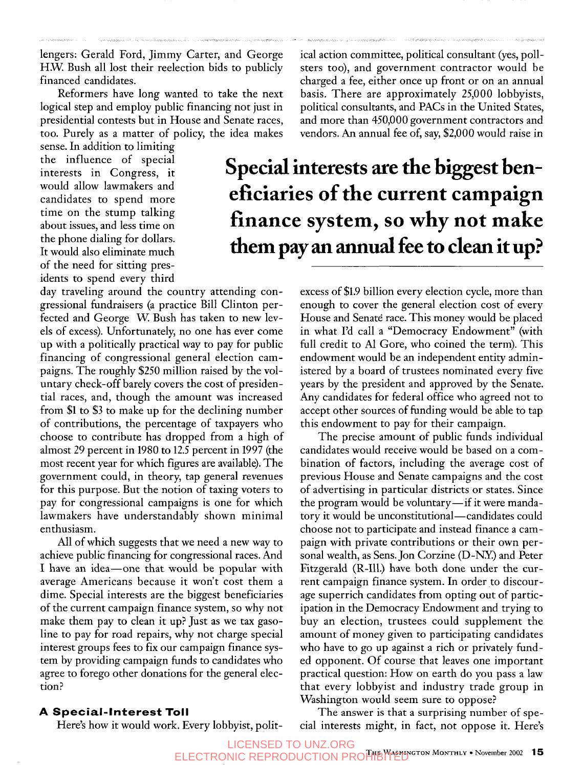lengers: Gerald Ford, Jimmy Carter, and George H.W. Bush all lost their reelection bids to publicly financed candidates.

Reformers have long wanted to take the next logical step and employ public financing not just in presidential contests but in House and Senate races, too. Purely as a matter of policy, the idea makes

sense. In addition to limiting the influence of special interests in Congress, it would allow lawmakers and time on the stump talking the phone dialing for dollars. It would also eliminate much of the need for sitting prescandidates to spend more about issues, and less time on idents to spend every third

day traveling around the country attending congressional fundraisers (a practice Bill Clinton perfected and George W. Bush has taken to new levels of excess). Unfortunately, no one has ever come up with a politically practical way to pay for public financing of congressional general election campaigns. The roughly \$250 million raised by the voluntary check-off barely covers the cost of presidential races, and, though the amount was increased from \$1 to *\$3* to make up for the declining number of contributions, the percentage of taxpayers who choose to contribute has dropped from a high of almost 29 percent in 1980 to 12.5 percent in 1997 (the most recent year for which figures are available). The government could, in theory, tap general revenues for this purpose. But the notion of taxing voters to pay for congressional campaigns is one for which lawmakers have understandably shown minimal enthusiasm.

All of which suggests that we need a new way to achieve public financing for congressional races. And I have an idea-one that would be popular with average Americans because it won't cost them a dime. Special interests are the biggest beneficiaries of the current campaign finance system, so why not make them pay to clean it up? Just as we tax gasoline to pay for road repairs, why not charge special interest groups fees to fix our campaign finance system by providing campaign funds to candidates who agree to forego other donations for the general election?

ical action committee, political consultant (yes, pollsters too), and government contractor would be charged a fee, either once up front or on an annual basis. There are approximately 25,000 lobbyists, political consultants, and PACs in the United States, and more than 450,000 government contractors and vendors. An annual fee of, say, \$2,000 would raise in

## **Special interests are the biggest beneficiaries of the current campaign finance system, so why not make them pay an annual fee to clean it up?**

excess of \$1.9 billion every election cycle, more than enough to cover the general election cost of every House and Senate race. This money would be placed in what I'd call a "Democracy Endowment" (with full credit to Al Gore, who coined the term). This endowment would be an independent entity administered by a board of trustees nominated every five years by the president and approved by the Senate. Any candidates for federal office who agreed not to accept other sources of funding would be able to tap this endowment to pay for their campaign.

The precise amount of public funds individual candidates would receive would be based on a combination of factors, including the average cost of previous House and Senate campaigns and the cost of advertising in particular districts or states. Since the program would be voluntary—if it were mandatory it would be unconstitutional-candidates could choose not to participate and instead finance a campaign with private contributions or their own personal wealth, as Sens. Jon Corzine (D-NX) and Peter Fitzgerald (R-Ill.) have both done under the current campaign finance system. In order to discourage superrich candidates from opting out of participation in the Democracy Endowment and trying to buy an election, trustees could supplement the amount of money given to participating candidates who have to go up against a rich or privately funded opponent. Of course that leaves one important practical question: How on earth do you pass a law that every lobbyist and industry trade group in Washington would seem sure to oppose?

#### The answer is that a surprising number of special interests might, in fact, not oppose it. Here's

#### **A Special-Interest Toll**

Here's how it would work. Every lobbyist, polit-

**THE MONTAGE WAS EXAMOGED TO UNZ.ORG TO UNZ.ORG AND TO UNITED TO UNITED TO UNITED TO UNITED TO A LITE OF STATE**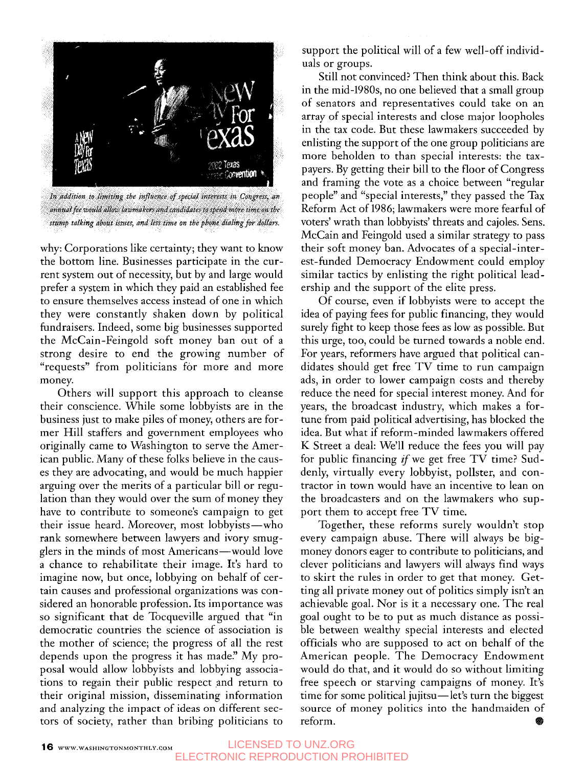

annual fee would allow lawmakers and candidates to spend more time on the stump talking about issues, and less time on the phone dialing for dollars.

why: Corporations like certainty; they want to know the bottom line. Businesses participate in the current system out of necessity, but by and large would prefer a system in which they paid an established fee to ensure themselves access instead of one in which they were constantly shaken down by political fundraisers. Indeed, some big businesses supported the McCain-Feingold soft money ban out of a strong desire to end the growing number of "requests" from politicians for more and more money.

Others will support this approach to cleanse their conscience. While some lobbyists are in the business just to make piles of money, others are former Hill staffers and government employees who originally came to Washington to serve the American public. Many of these folks believe in the causes they are advocating, and would be much happier arguing over the merits of a particular bill or regulation than they would over the sum of money they have to contribute to someone's campaign to get their issue heard. Moreover, most lobbyists-who rank somewhere between lawyers and ivory smugglers in the minds of most Americans—would love a chance to rehabilitate their image. It's hard to imagine now, but once, lobbying on behalf of certain causes and professional organizations was considered an honorable profession. Its importance was so significant that de Tocqueville argued that "in democratic countries the science of association is the mother of science; the progress of all the rest depends upon the progress it has made." My proposal would allow lobbyists and lobbying associations to regain their public respect and return to their original mission, disseminating information and analyzing the impact of ideas on different sectors of society, rather than bribing politicians to support the political will of a few well-off individuals or groups.

Still not convinced? Then think about this. Back in the mid-l980s, no one believed that a small group of senators and representatives could take on an array of special interests and close major loopholes in the tax code. But these lawmakers succeeded by enlisting the support of the one group politicians are more beholden to than special interests: the taxpayers. By getting their bill to the floor of Congress and framing the vote as a choice between "regular people" and "special interests," they passed the Tax Reform Act of 1986; lawmakers were more fearful of voters' wrath than lobbyists' threats and cajoles. Sens. McCain and Feingold used a similar strategy to pass their soft money ban. Advocates of a special-interest-funded Democracy Endowment could employ similar tactics by enlisting the right political lead ership and the support of the elite press.

Of course, even if lobbyists were to accept the idea of paying fees for public financing, they would surely fight to keep those fees as low as possible. But this urge, too, could be turned towards a noble end. For years, reformers have argued that political candidates should get free TV time to run campaign ads, in order to lower campaign costs and thereby reduce the need for special interest money. And for years, the broadcast industry, which makes a fortune from paid political advertising, has blocked the idea. But what if reform-minded lawmakers offered K Street a deal: We'll reduce the fees you will pay for public financing if we get free  $TV$  time? Suddenly, virtually every lobbyist, pollster, and contractor in town would have an incentive to lean on the broadcasters and on the lawmakers who support them to accept free TV time.

Together, these reforms surely wouldn't stop every campaign abuse. There will always be bigmoney donors eager to contribute to politicians, and clever politicians and lawyers will always find ways to skirt the rules in order to get that money. Getting all private money out of politics simply isn't an achievable goal. Nor is it a necessary one. The real goal ought to be to put as much distance as possible between wealthy special interests and elected officials who are supposed to act on behalf of the American people. The Democracy Endowment would do that, and it would do so without limiting free speech or starving campaigns of money. It's time for some political jujitsu—let's turn the biggest source of money politics into the handmaiden of reform.